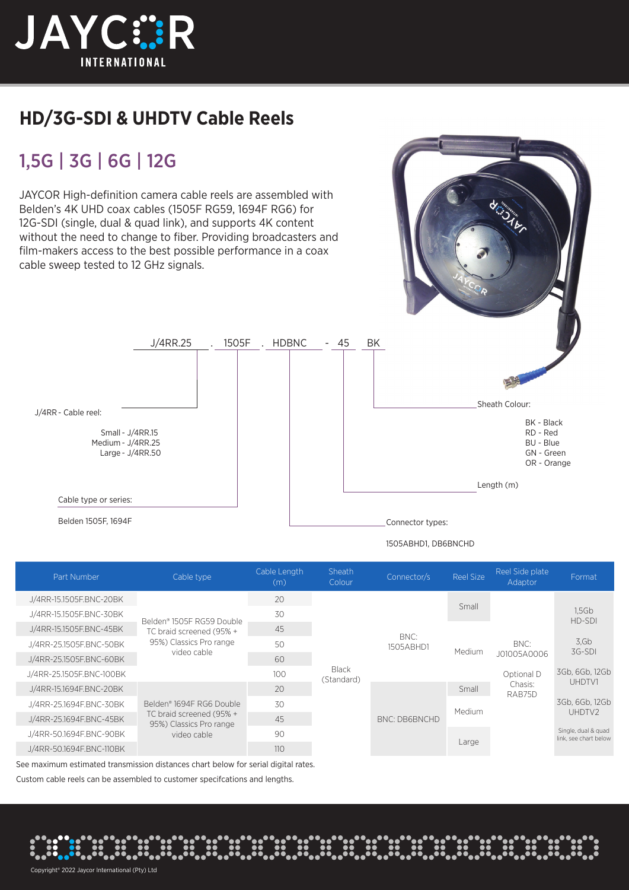

## **HD/3G-SDI & UHDTV Cable Reels**

## 1,5G | 3G | 6G | 12G

JAYCOR High-definition camera cable reels are assembled with Belden's 4K UHD coax cables (1505F RG59, 1694F RG6) for 12G-SDI (single, dual & quad link), and supports 4K content without the need to change to fiber. Providing broadcasters and film-makers access to the best possible performance in a coax cable sweep tested to 12 GHz signals.



Cable type or series:

Small - J/4RR.15 Medium - J/4RR.25 Large - J/4RR.50

J/4RR - Cable reel:

Belden 1505F, 1694F Connector types:

1505ABHD1, DB6BNCHD

|                          | Cable type                                                                                      | Cable Length<br>(m) | Sheath<br>Colour           | Connector/s          | <b>Reel Size</b> | Reel Side plate<br>Adaptor                             | Format                                       |
|--------------------------|-------------------------------------------------------------------------------------------------|---------------------|----------------------------|----------------------|------------------|--------------------------------------------------------|----------------------------------------------|
| J/4RR-15.1505F.BNC-20BK  | Belden® 1505E RG59 Double<br>TC braid screened (95% +<br>95%) Classics Pro range<br>video cable | 20                  | <b>Black</b><br>(Standard) | BNC:<br>1505ABHD1    | Small            |                                                        |                                              |
| J/4RR-15.1505F.BNC-30BK  |                                                                                                 | 30                  |                            |                      |                  |                                                        | 1.5 <sub>6b</sub><br>HD-SDI                  |
| J/4RR-15.1505F.BNC-45BK  |                                                                                                 | 45                  |                            |                      | Medium           | BNC:<br>J01005A0006<br>Optional D<br>Chasis:<br>RAB75D |                                              |
| J/4RR-25.1505F.BNC-50BK  |                                                                                                 | 50                  |                            |                      |                  |                                                        | 3.6 <sub>b</sub><br>3G-SDI                   |
| J/4RR-25.1505F.BNC-60BK  |                                                                                                 | 60                  |                            |                      |                  |                                                        |                                              |
| J/4RR-25.1505F.BNC-100BK |                                                                                                 | 100                 |                            |                      |                  |                                                        | 3Gb, 6Gb, 12Gb                               |
| J/4RR-15.1694F.BNC-20BK  | Belden® 1694F RG6 Double<br>TC braid screened (95% +<br>95%) Classics Pro range<br>video cable  | 20                  |                            | <b>BNC: DB6BNCHD</b> | Small            |                                                        | UHDTV1                                       |
| J/4RR-25.1694F.BNC-30BK  |                                                                                                 | 30                  |                            |                      | Medium           |                                                        | 3Gb, 6Gb, 12Gb                               |
| J/4RR-25.1694F.BNC-45BK  |                                                                                                 | 45                  |                            |                      |                  |                                                        | UHDTV2                                       |
| J/4RR-50.1694F.BNC-90BK  |                                                                                                 | 90                  |                            |                      | Large            |                                                        | Single, dual & quad<br>link, see chart below |
| J/4RR-50.1694F.BNC-110BK |                                                                                                 | 110                 |                            |                      |                  |                                                        |                                              |

See maximum estimated transmission distances chart below for serial digital rates.

Custom cable reels can be assembled to customer specifcations and lengths.

Copyright® 2022 Jaycor International (Pty) Ltd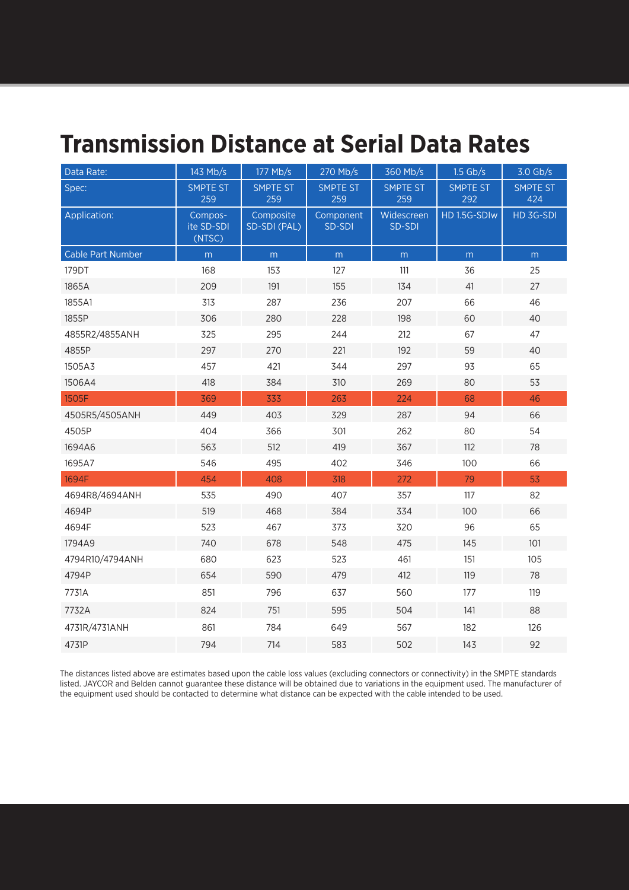## **Transmission Distance at Serial Data Rates**

| Data Rate:        | 143 Mb/s                        | 177 Mb/s                  | 270 Mb/s               | 360 Mb/s               | $1.5$ Gb/s      | $3.0$ Gb/s             |
|-------------------|---------------------------------|---------------------------|------------------------|------------------------|-----------------|------------------------|
| Spec:             | <b>SMPTE ST</b><br>259          | SMPTE ST<br>259           | <b>SMPTE ST</b><br>259 | <b>SMPTE ST</b><br>259 | SMPTE ST<br>292 | <b>SMPTE ST</b><br>424 |
| Application:      | Compos-<br>ite SD-SDI<br>(NTSC) | Composite<br>SD-SDI (PAL) | Component<br>SD-SDI    | Widescreen<br>SD-SDI   | HD 1.5G-SDIw    | HD 3G-SDI              |
| Cable Part Number | m                               | m                         | ${\sf m}$              | m                      | m               | m                      |
| 179DT             | 168                             | 153                       | 127                    | 111                    | 36              | 25                     |
| 1865A             | 209                             | 191                       | 155                    | 134                    | 41              | 27                     |
| 1855A1            | 313                             | 287                       | 236                    | 207                    | 66              | 46                     |
| 1855P             | 306                             | 280                       | 228                    | 198                    | 60              | 40                     |
| 4855R2/4855ANH    | 325                             | 295                       | 244                    | 212                    | 67              | 47                     |
| 4855P             | 297                             | 270                       | 221                    | 192                    | 59              | 40                     |
| 1505A3            | 457                             | 421                       | 344                    | 297                    | 93              | 65                     |
| 1506A4            | 418                             | 384                       | 310                    | 269                    | 80              | 53                     |
| 1505F             | 369                             | 333                       | 263                    | 224                    | 68              | 46                     |
| 4505R5/4505ANH    | 449                             | 403                       | 329                    | 287                    | 94              | 66                     |
| 4505P             | 404                             | 366                       | 301                    | 262                    | 80              | 54                     |
| 1694A6            | 563                             | 512                       | 419                    | 367                    | 112             | 78                     |
| 1695A7            | 546                             | 495                       | 402                    | 346                    | 100             | 66                     |
| 1694F             | 454                             | 408                       | 318                    | 272                    | 79              | 53                     |
| 4694R8/4694ANH    | 535                             | 490                       | 407                    | 357                    | 117             | 82                     |
| 4694P             | 519                             | 468                       | 384                    | 334                    | 100             | 66                     |
| 4694F             | 523                             | 467                       | 373                    | 320                    | 96              | 65                     |
| 1794A9            | 740                             | 678                       | 548                    | 475                    | 145             | 101                    |
| 4794R10/4794ANH   | 680                             | 623                       | 523                    | 461                    | 151             | 105                    |
| 4794P             | 654                             | 590                       | 479                    | 412                    | 119             | 78                     |
| 7731A             | 851                             | 796                       | 637                    | 560                    | 177             | 119                    |
| 7732A             | 824                             | 751                       | 595                    | 504                    | 141             | 88                     |
| 4731R/4731ANH     | 861                             | 784                       | 649                    | 567                    | 182             | 126                    |
| 4731P             | 794                             | 714                       | 583                    | 502                    | 143             | 92                     |

The distances listed above are estimates based upon the cable loss values (excluding connectors or connectivity) in the SMPTE standards listed. JAYCOR and Belden cannot guarantee these distance will be obtained due to variations in the equipment used. The manufacturer of the equipment used should be contacted to determine what distance can be expected with the cable intended to be used.